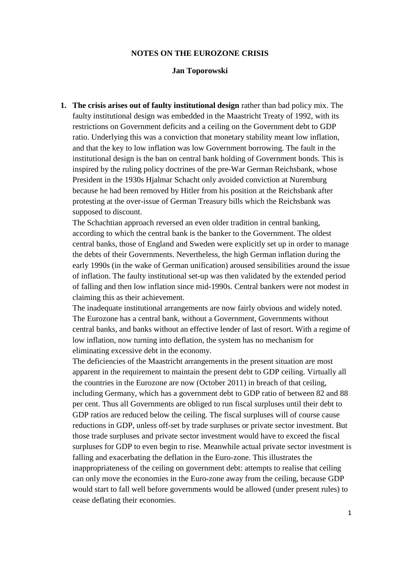### **NOTES ON THE EUROZONE CRISIS**

### **Jan Toporowski**

**1. The crisis arises out of faulty institutional design** rather than bad policy mix. The faulty institutional design was embedded in the Maastricht Treaty of 1992, with its restrictions on Government deficits and a ceiling on the Government debt to GDP ratio. Underlying this was a conviction that monetary stability meant low inflation, and that the key to low inflation was low Government borrowing. The fault in the institutional design is the ban on central bank holding of Government bonds. This is inspired by the ruling policy doctrines of the pre-War German Reichsbank, whose President in the 1930s Hjalmar Schacht only avoided conviction at Nuremburg because he had been removed by Hitler from his position at the Reichsbank after protesting at the over-issue of German Treasury bills which the Reichsbank was supposed to discount.

The Schachtian approach reversed an even older tradition in central banking, according to which the central bank is the banker to the Government. The oldest central banks, those of England and Sweden were explicitly set up in order to manage the debts of their Governments. Nevertheless, the high German inflation during the early 1990s (in the wake of German unification) aroused sensibilities around the issue of inflation. The faulty institutional set-up was then validated by the extended period of falling and then low inflation since mid-1990s. Central bankers were not modest in claiming this as their achievement.

The inadequate institutional arrangements are now fairly obvious and widely noted. The Eurozone has a central bank, without a Government, Governments without central banks, and banks without an effective lender of last of resort. With a regime of low inflation, now turning into deflation, the system has no mechanism for eliminating excessive debt in the economy.

The deficiencies of the Maastricht arrangements in the present situation are most apparent in the requirement to maintain the present debt to GDP ceiling. Virtually all the countries in the Eurozone are now (October 2011) in breach of that ceiling, including Germany, which has a government debt to GDP ratio of between 82 and 88 per cent. Thus all Governments are obliged to run fiscal surpluses until their debt to GDP ratios are reduced below the ceiling. The fiscal surpluses will of course cause reductions in GDP, unless off-set by trade surpluses or private sector investment. But those trade surpluses and private sector investment would have to exceed the fiscal surpluses for GDP to even begin to rise. Meanwhile actual private sector investment is falling and exacerbating the deflation in the Euro-zone. This illustrates the inappropriateness of the ceiling on government debt: attempts to realise that ceiling can only move the economies in the Euro-zone away from the ceiling, because GDP would start to fall well before governments would be allowed (under present rules) to cease deflating their economies.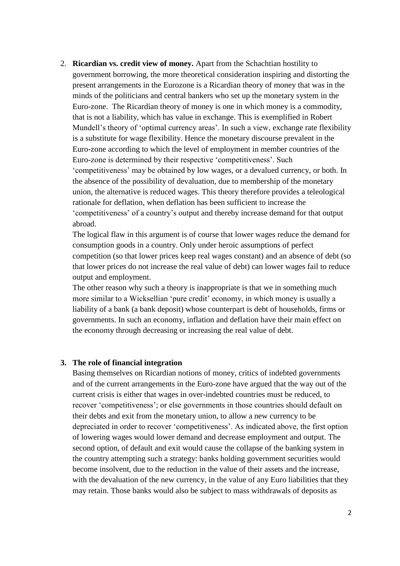2. **Ricardian vs. credit view of money.** Apart from the Schachtian hostility to government borrowing, the more theoretical consideration inspiring and distorting the present arrangements in the Eurozone is a Ricardian theory of money that was in the minds of the politicians and central bankers who set up the monetary system in the Euro-zone. The Ricardian theory of money is one in which money is a commodity, that is not a liability, which has value in exchange. This is exemplified in Robert Mundell's theory of 'optimal currency areas'. In such a view, exchange rate flexibility is a substitute for wage flexibility. Hence the monetary discourse prevalent in the Euro-zone according to which the level of employment in member countries of the Euro-zone is determined by their respective 'competitiveness'. Such 'competitiveness' may be obtained by low wages, or a devalued currency, or both. In the absence of the possibility of devaluation, due to membership of the monetary union, the alternative is reduced wages. This theory therefore provides a teleological rationale for deflation, when deflation has been sufficient to increase the 'competitiveness' of a country's output and thereby increase demand for that output abroad.

The logical flaw in this argument is of course that lower wages reduce the demand for consumption goods in a country. Only under heroic assumptions of perfect competition (so that lower prices keep real wages constant) and an absence of debt (so that lower prices do not increase the real value of debt) can lower wages fail to reduce output and employment.

The other reason why such a theory is inappropriate is that we in something much more similar to a Wicksellian 'pure credit' economy, in which money is usually a liability of a bank (a bank deposit) whose counterpart is debt of households, firms or governments. In such an economy, inflation and deflation have their main effect on the economy through decreasing or increasing the real value of debt.

### **3. The role of financial integration**

Basing themselves on Ricardian notions of money, critics of indebted governments and of the current arrangements in the Euro-zone have argued that the way out of the current crisis is either that wages in over-indebted countries must be reduced, to recover 'competitiveness'; or else governments in those countries should default on their debts and exit from the monetary union, to allow a new currency to be depreciated in order to recover 'competitiveness'. As indicated above, the first option of lowering wages would lower demand and decrease employment and output. The second option, of default and exit would cause the collapse of the banking system in the country attempting such a strategy: banks holding government securities would become insolvent, due to the reduction in the value of their assets and the increase, with the devaluation of the new currency, in the value of any Euro liabilities that they may retain. Those banks would also be subject to mass withdrawals of deposits as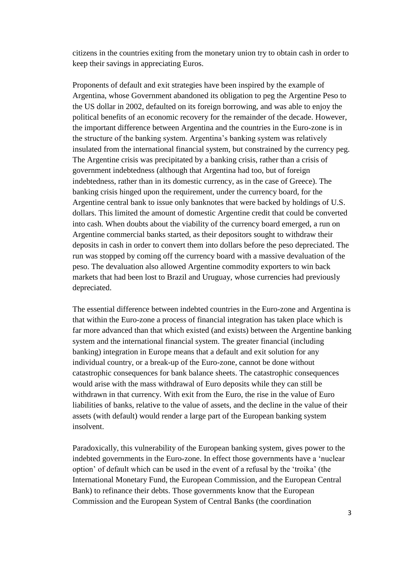citizens in the countries exiting from the monetary union try to obtain cash in order to keep their savings in appreciating Euros.

Proponents of default and exit strategies have been inspired by the example of Argentina, whose Government abandoned its obligation to peg the Argentine Peso to the US dollar in 2002, defaulted on its foreign borrowing, and was able to enjoy the political benefits of an economic recovery for the remainder of the decade. However, the important difference between Argentina and the countries in the Euro-zone is in the structure of the banking system. Argentina's banking system was relatively insulated from the international financial system, but constrained by the currency peg. The Argentine crisis was precipitated by a banking crisis, rather than a crisis of government indebtedness (although that Argentina had too, but of foreign indebtedness, rather than in its domestic currency, as in the case of Greece). The banking crisis hinged upon the requirement, under the currency board, for the Argentine central bank to issue only banknotes that were backed by holdings of U.S. dollars. This limited the amount of domestic Argentine credit that could be converted into cash. When doubts about the viability of the currency board emerged, a run on Argentine commercial banks started, as their depositors sought to withdraw their deposits in cash in order to convert them into dollars before the peso depreciated. The run was stopped by coming off the currency board with a massive devaluation of the peso. The devaluation also allowed Argentine commodity exporters to win back markets that had been lost to Brazil and Uruguay, whose currencies had previously depreciated.

The essential difference between indebted countries in the Euro-zone and Argentina is that within the Euro-zone a process of financial integration has taken place which is far more advanced than that which existed (and exists) between the Argentine banking system and the international financial system. The greater financial (including banking) integration in Europe means that a default and exit solution for any individual country, or a break-up of the Euro-zone, cannot be done without catastrophic consequences for bank balance sheets. The catastrophic consequences would arise with the mass withdrawal of Euro deposits while they can still be withdrawn in that currency. With exit from the Euro, the rise in the value of Euro liabilities of banks, relative to the value of assets, and the decline in the value of their assets (with default) would render a large part of the European banking system insolvent.

Paradoxically, this vulnerability of the European banking system, gives power to the indebted governments in the Euro-zone. In effect those governments have a 'nuclear option' of default which can be used in the event of a refusal by the 'troika' (the International Monetary Fund, the European Commission, and the European Central Bank) to refinance their debts. Those governments know that the European Commission and the European System of Central Banks (the coordination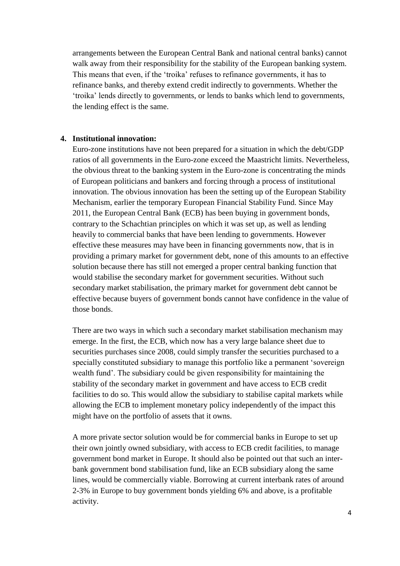arrangements between the European Central Bank and national central banks) cannot walk away from their responsibility for the stability of the European banking system. This means that even, if the 'troika' refuses to refinance governments, it has to refinance banks, and thereby extend credit indirectly to governments. Whether the 'troika' lends directly to governments, or lends to banks which lend to governments, the lending effect is the same.

## **4. Institutional innovation:**

Euro-zone institutions have not been prepared for a situation in which the debt/GDP ratios of all governments in the Euro-zone exceed the Maastricht limits. Nevertheless, the obvious threat to the banking system in the Euro-zone is concentrating the minds of European politicians and bankers and forcing through a process of institutional innovation. The obvious innovation has been the setting up of the European Stability Mechanism, earlier the temporary European Financial Stability Fund. Since May 2011, the European Central Bank (ECB) has been buying in government bonds, contrary to the Schachtian principles on which it was set up, as well as lending heavily to commercial banks that have been lending to governments. However effective these measures may have been in financing governments now, that is in providing a primary market for government debt, none of this amounts to an effective solution because there has still not emerged a proper central banking function that would stabilise the secondary market for government securities. Without such secondary market stabilisation, the primary market for government debt cannot be effective because buyers of government bonds cannot have confidence in the value of those bonds.

There are two ways in which such a secondary market stabilisation mechanism may emerge. In the first, the ECB, which now has a very large balance sheet due to securities purchases since 2008, could simply transfer the securities purchased to a specially constituted subsidiary to manage this portfolio like a permanent 'sovereign wealth fund'. The subsidiary could be given responsibility for maintaining the stability of the secondary market in government and have access to ECB credit facilities to do so. This would allow the subsidiary to stabilise capital markets while allowing the ECB to implement monetary policy independently of the impact this might have on the portfolio of assets that it owns.

A more private sector solution would be for commercial banks in Europe to set up their own jointly owned subsidiary, with access to ECB credit facilities, to manage government bond market in Europe. It should also be pointed out that such an interbank government bond stabilisation fund, like an ECB subsidiary along the same lines, would be commercially viable. Borrowing at current interbank rates of around 2-3% in Europe to buy government bonds yielding 6% and above, is a profitable activity.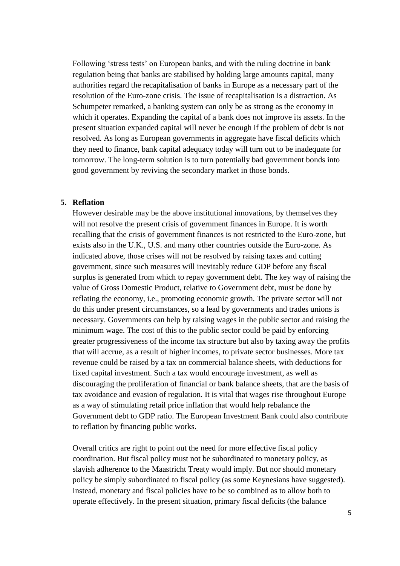Following 'stress tests' on European banks, and with the ruling doctrine in bank regulation being that banks are stabilised by holding large amounts capital, many authorities regard the recapitalisation of banks in Europe as a necessary part of the resolution of the Euro-zone crisis. The issue of recapitalisation is a distraction. As Schumpeter remarked, a banking system can only be as strong as the economy in which it operates. Expanding the capital of a bank does not improve its assets. In the present situation expanded capital will never be enough if the problem of debt is not resolved. As long as European governments in aggregate have fiscal deficits which they need to finance, bank capital adequacy today will turn out to be inadequate for tomorrow. The long-term solution is to turn potentially bad government bonds into good government by reviving the secondary market in those bonds.

# **5. Reflation**

However desirable may be the above institutional innovations, by themselves they will not resolve the present crisis of government finances in Europe. It is worth recalling that the crisis of government finances is not restricted to the Euro-zone, but exists also in the U.K., U.S. and many other countries outside the Euro-zone. As indicated above, those crises will not be resolved by raising taxes and cutting government, since such measures will inevitably reduce GDP before any fiscal surplus is generated from which to repay government debt. The key way of raising the value of Gross Domestic Product, relative to Government debt, must be done by reflating the economy, i.e., promoting economic growth. The private sector will not do this under present circumstances, so a lead by governments and trades unions is necessary. Governments can help by raising wages in the public sector and raising the minimum wage. The cost of this to the public sector could be paid by enforcing greater progressiveness of the income tax structure but also by taxing away the profits that will accrue, as a result of higher incomes, to private sector businesses. More tax revenue could be raised by a tax on commercial balance sheets, with deductions for fixed capital investment. Such a tax would encourage investment, as well as discouraging the proliferation of financial or bank balance sheets, that are the basis of tax avoidance and evasion of regulation. It is vital that wages rise throughout Europe as a way of stimulating retail price inflation that would help rebalance the Government debt to GDP ratio. The European Investment Bank could also contribute to reflation by financing public works.

Overall critics are right to point out the need for more effective fiscal policy coordination. But fiscal policy must not be subordinated to monetary policy, as slavish adherence to the Maastricht Treaty would imply. But nor should monetary policy be simply subordinated to fiscal policy (as some Keynesians have suggested). Instead, monetary and fiscal policies have to be so combined as to allow both to operate effectively. In the present situation, primary fiscal deficits (the balance